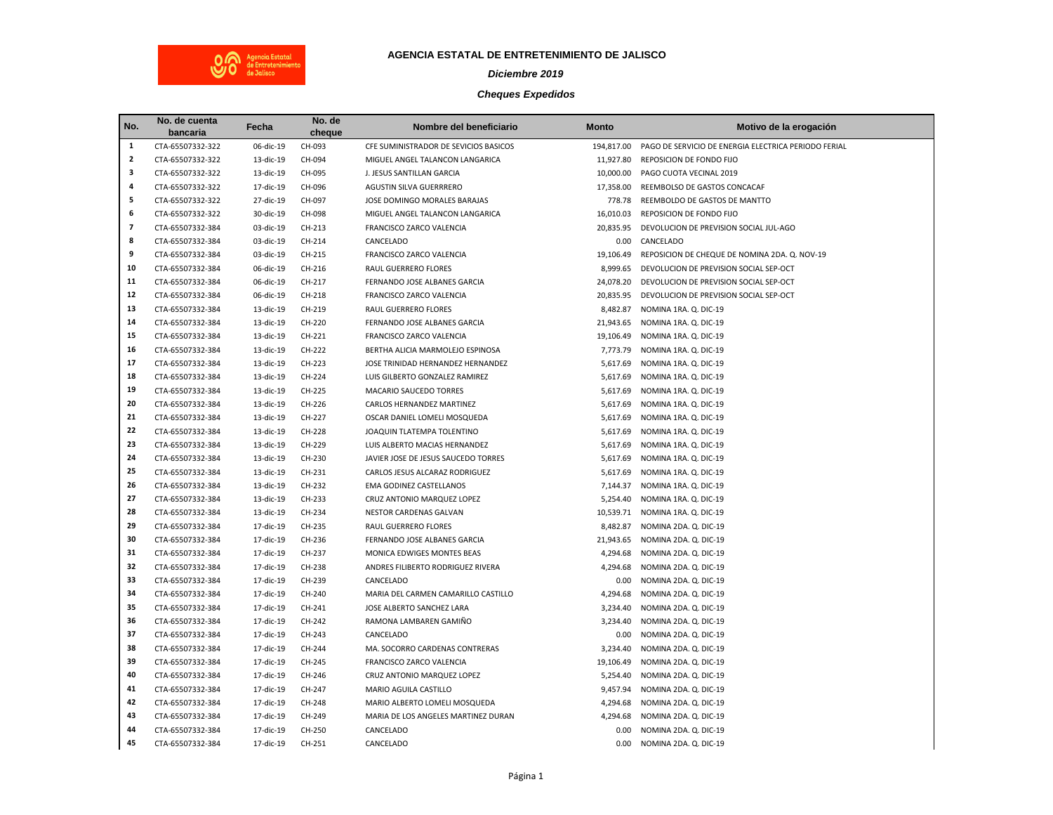

## **AGENCIA ESTATAL DE ENTRETENIMIENTO DE JALISCO**

## *Diciembre 2019*

## *Cheques Expedidos*

| No.                 | No. de cuenta    | Fecha     | No. de | Nombre del beneficiario               | <b>Monto</b> | Motivo de la erogación                               |
|---------------------|------------------|-----------|--------|---------------------------------------|--------------|------------------------------------------------------|
|                     | bancaria         |           | cheque |                                       |              |                                                      |
| 1<br>$\overline{2}$ | CTA-65507332-322 | 06-dic-19 | CH-093 | CFE SUMINISTRADOR DE SEVICIOS BASICOS | 194,817.00   | PAGO DE SERVICIO DE ENERGIA ELECTRICA PERIODO FERIAL |
|                     | CTA-65507332-322 | 13-dic-19 | CH-094 | MIGUEL ANGEL TALANCON LANGARICA       | 11,927.80    | REPOSICION DE FONDO FIJO                             |
| 3<br>4              | CTA-65507332-322 | 13-dic-19 | CH-095 | J. JESUS SANTILLAN GARCIA             | 10,000.00    | PAGO CUOTA VECINAL 2019                              |
|                     | CTA-65507332-322 | 17-dic-19 | CH-096 | AGUSTIN SILVA GUERRRERO               | 17,358.00    | REEMBOLSO DE GASTOS CONCACAF                         |
| 5<br>6              | CTA-65507332-322 | 27-dic-19 | CH-097 | JOSE DOMINGO MORALES BARAJAS          | 778.78       | REEMBOLDO DE GASTOS DE MANTTO                        |
|                     | CTA-65507332-322 | 30-dic-19 | CH-098 | MIGUEL ANGEL TALANCON LANGARICA       | 16,010.03    | REPOSICION DE FONDO FIJO                             |
| $\overline{7}$      | CTA-65507332-384 | 03-dic-19 | CH-213 | FRANCISCO ZARCO VALENCIA              | 20,835.95    | DEVOLUCION DE PREVISION SOCIAL JUL-AGO               |
| 8                   | CTA-65507332-384 | 03-dic-19 | CH-214 | CANCELADO                             | 0.00         | CANCELADO                                            |
| 9                   | CTA-65507332-384 | 03-dic-19 | CH-215 | FRANCISCO ZARCO VALENCIA              | 19,106.49    | REPOSICION DE CHEQUE DE NOMINA 2DA. Q. NOV-19        |
| 10                  | CTA-65507332-384 | 06-dic-19 | CH-216 | RAUL GUERRERO FLORES                  | 8,999.65     | DEVOLUCION DE PREVISION SOCIAL SEP-OCT               |
| 11                  | CTA-65507332-384 | 06-dic-19 | CH-217 | FERNANDO JOSE ALBANES GARCIA          | 24,078.20    | DEVOLUCION DE PREVISION SOCIAL SEP-OCT               |
| 12                  | CTA-65507332-384 | 06-dic-19 | CH-218 | FRANCISCO ZARCO VALENCIA              | 20,835.95    | DEVOLUCION DE PREVISION SOCIAL SEP-OCT               |
| 13                  | CTA-65507332-384 | 13-dic-19 | CH-219 | RAUL GUERRERO FLORES                  | 8,482.87     | NOMINA 1RA. Q. DIC-19                                |
| 14                  | CTA-65507332-384 | 13-dic-19 | CH-220 | FERNANDO JOSE ALBANES GARCIA          | 21,943.65    | NOMINA 1RA. Q. DIC-19                                |
| 15                  | CTA-65507332-384 | 13-dic-19 | CH-221 | FRANCISCO ZARCO VALENCIA              | 19,106.49    | NOMINA 1RA. Q. DIC-19                                |
| 16                  | CTA-65507332-384 | 13-dic-19 | CH-222 | BERTHA ALICIA MARMOLEJO ESPINOSA      | 7,773.79     | NOMINA 1RA. Q. DIC-19                                |
| 17                  | CTA-65507332-384 | 13-dic-19 | CH-223 | JOSE TRINIDAD HERNANDEZ HERNANDEZ     | 5,617.69     | NOMINA 1RA. Q. DIC-19                                |
| 18                  | CTA-65507332-384 | 13-dic-19 | CH-224 | LUIS GILBERTO GONZALEZ RAMIREZ        | 5,617.69     | NOMINA 1RA. Q. DIC-19                                |
| 19                  | CTA-65507332-384 | 13-dic-19 | CH-225 | MACARIO SAUCEDO TORRES                | 5,617.69     | NOMINA 1RA. Q. DIC-19                                |
| 20                  | CTA-65507332-384 | 13-dic-19 | CH-226 | CARLOS HERNANDEZ MARTINEZ             | 5,617.69     | NOMINA 1RA. Q. DIC-19                                |
| 21                  | CTA-65507332-384 | 13-dic-19 | CH-227 | OSCAR DANIEL LOMELI MOSQUEDA          | 5,617.69     | NOMINA 1RA. Q. DIC-19                                |
| 22                  | CTA-65507332-384 | 13-dic-19 | CH-228 | JOAQUIN TLATEMPA TOLENTINO            | 5,617.69     | NOMINA 1RA. Q. DIC-19                                |
| 23                  | CTA-65507332-384 | 13-dic-19 | CH-229 | LUIS ALBERTO MACIAS HERNANDEZ         | 5,617.69     | NOMINA 1RA. Q. DIC-19                                |
| 24                  | CTA-65507332-384 | 13-dic-19 | CH-230 | JAVIER JOSE DE JESUS SAUCEDO TORRES   | 5,617.69     | NOMINA 1RA. Q. DIC-19                                |
| 25                  | CTA-65507332-384 | 13-dic-19 | CH-231 | CARLOS JESUS ALCARAZ RODRIGUEZ        | 5,617.69     | NOMINA 1RA. Q. DIC-19                                |
| 26                  | CTA-65507332-384 | 13-dic-19 | CH-232 | <b>EMA GODINEZ CASTELLANOS</b>        | 7,144.37     | NOMINA 1RA. Q. DIC-19                                |
| 27                  | CTA-65507332-384 | 13-dic-19 | CH-233 | CRUZ ANTONIO MARQUEZ LOPEZ            | 5,254.40     | NOMINA 1RA. Q. DIC-19                                |
| 28                  | CTA-65507332-384 | 13-dic-19 | CH-234 | NESTOR CARDENAS GALVAN                | 10,539.71    | NOMINA 1RA. Q. DIC-19                                |
| 29                  | CTA-65507332-384 | 17-dic-19 | CH-235 | RAUL GUERRERO FLORES                  | 8,482.87     | NOMINA 2DA. Q. DIC-19                                |
| 30                  | CTA-65507332-384 | 17-dic-19 | CH-236 | FERNANDO JOSE ALBANES GARCIA          | 21,943.65    | NOMINA 2DA. Q. DIC-19                                |
| 31                  | CTA-65507332-384 | 17-dic-19 | CH-237 | MONICA EDWIGES MONTES BEAS            | 4,294.68     | NOMINA 2DA. Q. DIC-19                                |
| 32                  | CTA-65507332-384 | 17-dic-19 | CH-238 | ANDRES FILIBERTO RODRIGUEZ RIVERA     | 4,294.68     | NOMINA 2DA. Q. DIC-19                                |
| 33                  | CTA-65507332-384 | 17-dic-19 | CH-239 | CANCELADO                             | 0.00         | NOMINA 2DA. Q. DIC-19                                |
| 34                  | CTA-65507332-384 | 17-dic-19 | CH-240 | MARIA DEL CARMEN CAMARILLO CASTILLO   | 4,294.68     | NOMINA 2DA. Q. DIC-19                                |
| 35                  | CTA-65507332-384 | 17-dic-19 | CH-241 | JOSE ALBERTO SANCHEZ LARA             | 3,234.40     | NOMINA 2DA. Q. DIC-19                                |
| 36                  | CTA-65507332-384 | 17-dic-19 | CH-242 | RAMONA LAMBAREN GAMIÑO                | 3,234.40     | NOMINA 2DA. Q. DIC-19                                |
| 37                  | CTA-65507332-384 | 17-dic-19 | CH-243 | CANCELADO                             | 0.00         | NOMINA 2DA. Q. DIC-19                                |
| 38                  | CTA-65507332-384 | 17-dic-19 | CH-244 | MA. SOCORRO CARDENAS CONTRERAS        | 3,234.40     | NOMINA 2DA. Q. DIC-19                                |
| 39                  | CTA-65507332-384 | 17-dic-19 | CH-245 | FRANCISCO ZARCO VALENCIA              | 19,106.49    | NOMINA 2DA. Q. DIC-19                                |
| 40                  | CTA-65507332-384 | 17-dic-19 | CH-246 | CRUZ ANTONIO MARQUEZ LOPEZ            | 5,254.40     | NOMINA 2DA. Q. DIC-19                                |
| 41                  | CTA-65507332-384 | 17-dic-19 | CH-247 | MARIO AGUILA CASTILLO                 | 9,457.94     | NOMINA 2DA. Q. DIC-19                                |
| 42                  | CTA-65507332-384 | 17-dic-19 | CH-248 | MARIO ALBERTO LOMELI MOSQUEDA         | 4,294.68     | NOMINA 2DA. Q. DIC-19                                |
| 43                  | CTA-65507332-384 | 17-dic-19 | CH-249 | MARIA DE LOS ANGELES MARTINEZ DURAN   | 4,294.68     | NOMINA 2DA. Q. DIC-19                                |
| 44                  | CTA-65507332-384 | 17-dic-19 | CH-250 | CANCELADO                             | 0.00         | NOMINA 2DA. Q. DIC-19                                |
| 45                  | CTA-65507332-384 | 17-dic-19 | CH-251 | CANCELADO                             | 0.00         | NOMINA 2DA. Q. DIC-19                                |